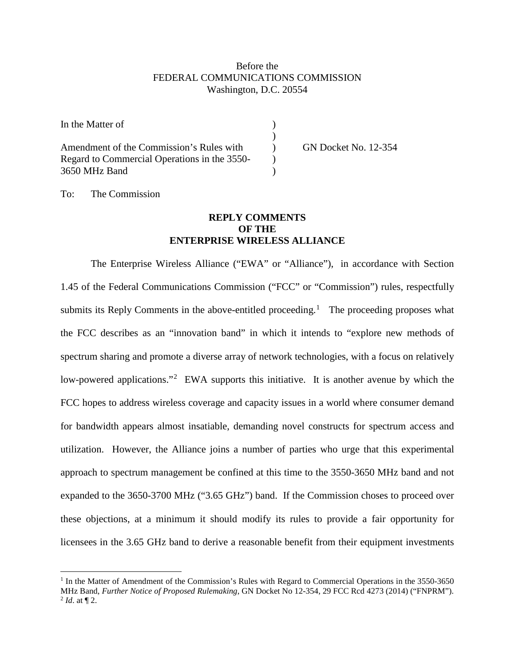## Before the FEDERAL COMMUNICATIONS COMMISSION Washington, D.C. 20554

| In the Matter of                             |                             |
|----------------------------------------------|-----------------------------|
|                                              |                             |
| Amendment of the Commission's Rules with     | <b>GN Docket No. 12-354</b> |
| Regard to Commercial Operations in the 3550- |                             |
| 3650 MHz Band                                |                             |

## To: The Commission

 $\overline{a}$ 

## **REPLY COMMENTS OF THE ENTERPRISE WIRELESS ALLIANCE**

The Enterprise Wireless Alliance ("EWA" or "Alliance"), in accordance with Section 1.45 of the Federal Communications Commission ("FCC" or "Commission") rules, respectfully submits its Reply Comments in the above-entitled proceeding.<sup>[1](#page-0-0)</sup> The proceeding proposes what the FCC describes as an "innovation band" in which it intends to "explore new methods of spectrum sharing and promote a diverse array of network technologies, with a focus on relatively low-powered applications."<sup>[2](#page-0-1)</sup> EWA supports this initiative. It is another avenue by which the FCC hopes to address wireless coverage and capacity issues in a world where consumer demand for bandwidth appears almost insatiable, demanding novel constructs for spectrum access and utilization. However, the Alliance joins a number of parties who urge that this experimental approach to spectrum management be confined at this time to the 3550-3650 MHz band and not expanded to the 3650-3700 MHz ("3.65 GHz") band. If the Commission choses to proceed over these objections, at a minimum it should modify its rules to provide a fair opportunity for licensees in the 3.65 GHz band to derive a reasonable benefit from their equipment investments

<span id="page-0-1"></span><span id="page-0-0"></span><sup>&</sup>lt;sup>1</sup> In the Matter of Amendment of the Commission's Rules with Regard to Commercial Operations in the 3550-3650 MHz Band, *Further Notice of Proposed Rulemaking*, GN Docket No 12-354, 29 FCC Rcd 4273 (2014) ("FNPRM").  $^{2}$  *Id.* at  $\P$  2.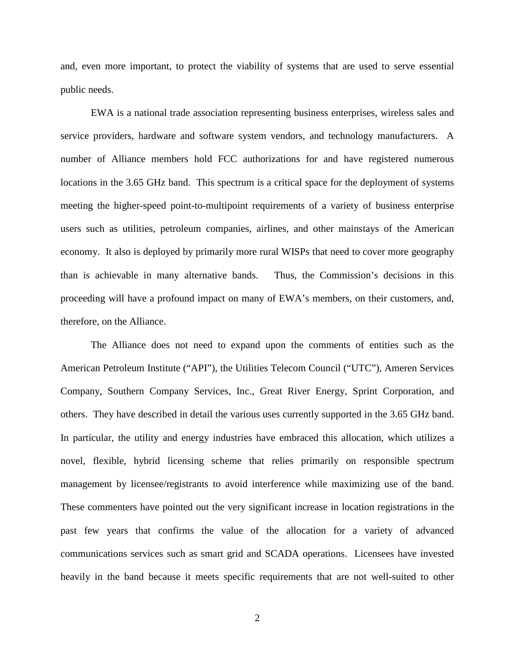and, even more important, to protect the viability of systems that are used to serve essential public needs.

EWA is a national trade association representing business enterprises, wireless sales and service providers, hardware and software system vendors, and technology manufacturers. A number of Alliance members hold FCC authorizations for and have registered numerous locations in the 3.65 GHz band. This spectrum is a critical space for the deployment of systems meeting the higher-speed point-to-multipoint requirements of a variety of business enterprise users such as utilities, petroleum companies, airlines, and other mainstays of the American economy. It also is deployed by primarily more rural WISPs that need to cover more geography than is achievable in many alternative bands. Thus, the Commission's decisions in this proceeding will have a profound impact on many of EWA's members, on their customers, and, therefore, on the Alliance.

The Alliance does not need to expand upon the comments of entities such as the American Petroleum Institute ("API"), the Utilities Telecom Council ("UTC"), Ameren Services Company, Southern Company Services, Inc., Great River Energy, Sprint Corporation, and others. They have described in detail the various uses currently supported in the 3.65 GHz band. In particular, the utility and energy industries have embraced this allocation, which utilizes a novel, flexible, hybrid licensing scheme that relies primarily on responsible spectrum management by licensee/registrants to avoid interference while maximizing use of the band. These commenters have pointed out the very significant increase in location registrations in the past few years that confirms the value of the allocation for a variety of advanced communications services such as smart grid and SCADA operations. Licensees have invested heavily in the band because it meets specific requirements that are not well-suited to other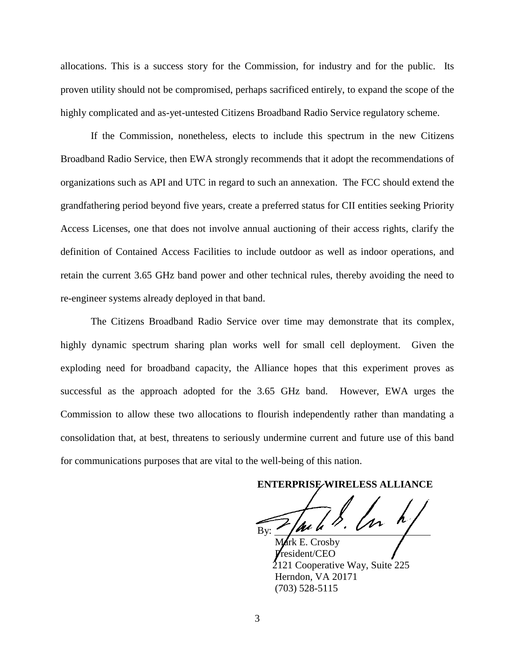allocations. This is a success story for the Commission, for industry and for the public. Its proven utility should not be compromised, perhaps sacrificed entirely, to expand the scope of the highly complicated and as-yet-untested Citizens Broadband Radio Service regulatory scheme.

If the Commission, nonetheless, elects to include this spectrum in the new Citizens Broadband Radio Service, then EWA strongly recommends that it adopt the recommendations of organizations such as API and UTC in regard to such an annexation. The FCC should extend the grandfathering period beyond five years, create a preferred status for CII entities seeking Priority Access Licenses, one that does not involve annual auctioning of their access rights, clarify the definition of Contained Access Facilities to include outdoor as well as indoor operations, and retain the current 3.65 GHz band power and other technical rules, thereby avoiding the need to re-engineer systems already deployed in that band.

The Citizens Broadband Radio Service over time may demonstrate that its complex, highly dynamic spectrum sharing plan works well for small cell deployment. Given the exploding need for broadband capacity, the Alliance hopes that this experiment proves as successful as the approach adopted for the 3.65 GHz band. However, EWA urges the Commission to allow these two allocations to flourish independently rather than mandating a consolidation that, at best, threatens to seriously undermine current and future use of this band for communications purposes that are vital to the well-being of this nation.

**ENTERPRISE WIRELESS ALLIANCE**

 $By:$   $\mu u u \cdot v$ 

Crosby President/CEO 2121 Cooperative Way, Suite 225 Herndon, VA 20171 (703) 528-5115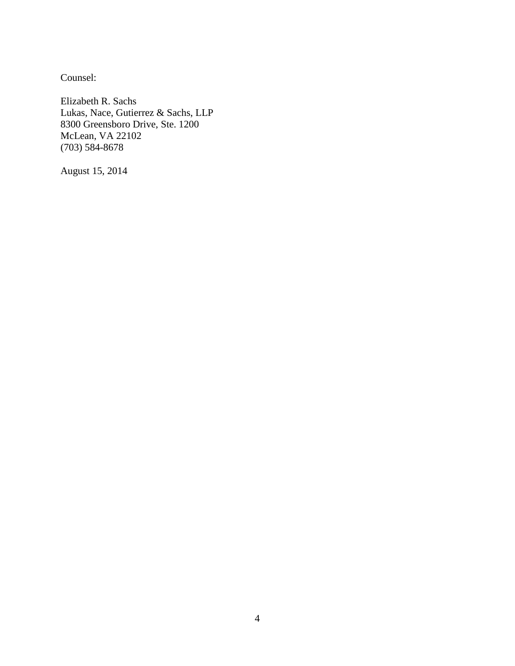Counsel:

Elizabeth R. Sachs Lukas, Nace, Gutierrez & Sachs, LLP 8300 Greensboro Drive, Ste. 1200 McLean, VA 22102 (703) 584-8678

August 15, 2014